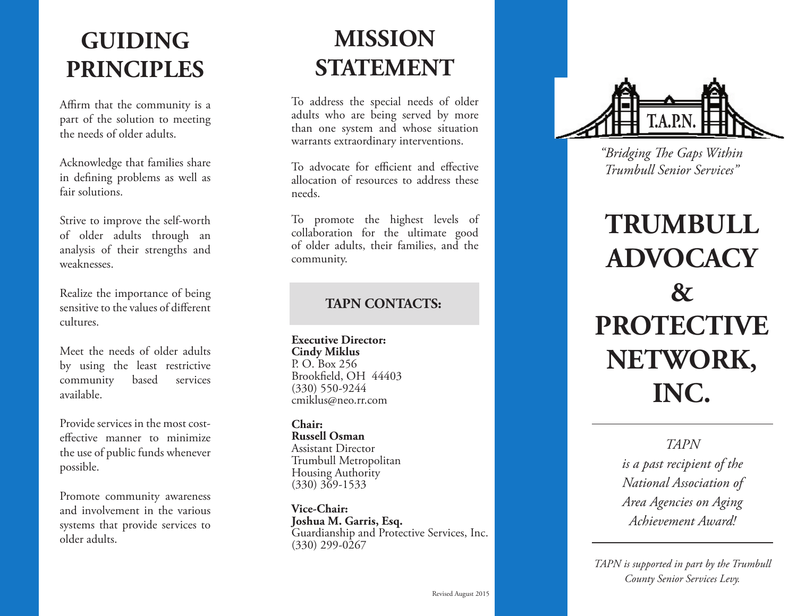## **GUIDING PRINCIPLES**

Affirm that the community is a part of the solution to meeting the needs of older adults.

Acknowledge that families share in defining problems as well as fair solutions.

Strive to improve the self-worth of older adults through an analysis of their strengths and weaknesses.

Realize the importance of being sensitive to the values of different cultures.

Meet the needs of older adults by using the least restrictive community based services available.

Provide services in the most costeffective manner to minimize the use of public funds whenever possible.

Promote community awareness and involvement in the various systems that provide services to older adults.

# **MISSION STATEMENT**

To address the special needs of older adults who are being served by more than one system and whose situation warrants extraordinary interventions.

To advocate for efficient and effective allocation of resources to address these needs.

To promote the highest levels of collaboration for the ultimate good of older adults, their families, and the community.

## **TAPN CONTACTS:**

**Executive Director: Cindy Miklus** P. O. Box 256 Brookfield, OH 44403 (330) 550-9244 cmiklus@neo.rr.com

**Chair: Russell Osman** Assistant Director Trumbull Metropolitan Housing Authority (330) 369-1533

**Vice-Chair: Joshua M. Garris, Esq.** Guardianship and Protective Services, Inc.  $(330)$  299-0267



*"Bridging The Gaps Within Trumbull Senior Services"*

# **TRUMBULL ADVOCACY & PROTECTIVE NETWORK, INC.**

*TAPN is a past recipient of the National Association of Area Agencies on Aging Achievement Award!*

*TAPN is supported in part by the Trumbull County Senior Services Levy.*